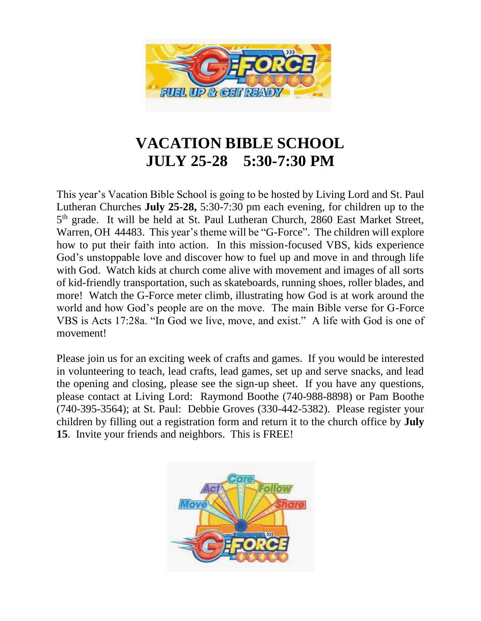

## **VACATION BIBLE SCHOOL JULY 25-28 5:30-7:30 PM**

This year's Vacation Bible School is going to be hosted by Living Lord and St. Paul Lutheran Churches **July 25-28,** 5:30-7:30 pm each evening, for children up to the 5<sup>th</sup> grade. It will be held at St. Paul Lutheran Church, 2860 East Market Street, Warren, OH 44483. This year's theme will be "G-Force". The children will explore how to put their faith into action. In this mission-focused VBS, kids experience God's unstoppable love and discover how to fuel up and move in and through life with God. Watch kids at church come alive with movement and images of all sorts of kid-friendly transportation, such as skateboards, running shoes, roller blades, and more! Watch the G-Force meter climb, illustrating how God is at work around the world and how God's people are on the move. The main Bible verse for G-Force VBS is Acts 17:28a. "In God we live, move, and exist." A life with God is one of movement!

Please join us for an exciting week of crafts and games. If you would be interested in volunteering to teach, lead crafts, lead games, set up and serve snacks, and lead the opening and closing, please see the sign-up sheet. If you have any questions, please contact at Living Lord: Raymond Boothe (740-988-8898) or Pam Boothe (740-395-3564); at St. Paul: Debbie Groves (330-442-5382). Please register your children by filling out a registration form and return it to the church office by **July 15**. Invite your friends and neighbors. This is FREE!